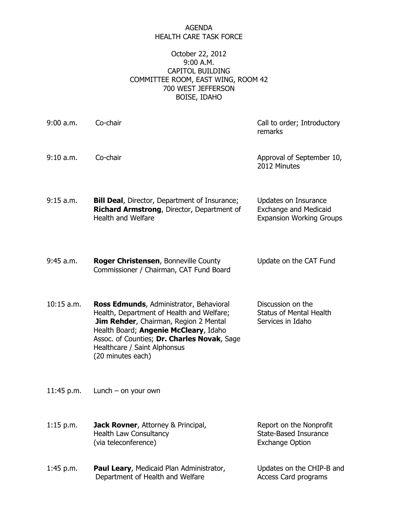## AGENDA HEALTH CARE TASK FORCE

## October 22, 2012 9:00 A.M. CAPITOL BUILDING COMMITTEE ROOM, EAST WING, ROOM 42 700 WEST JEFFERSON BOISE, IDAHO

| $9:00$ a.m.  | Co-chair                                                                                                                                                                                                                                                                          | Call to order; Introductory<br>remarks                                                  |
|--------------|-----------------------------------------------------------------------------------------------------------------------------------------------------------------------------------------------------------------------------------------------------------------------------------|-----------------------------------------------------------------------------------------|
| 9:10 a.m.    | Co-chair                                                                                                                                                                                                                                                                          | Approval of September 10,<br>2012 Minutes                                               |
| 9:15 a.m.    | <b>Bill Deal, Director, Department of Insurance;</b><br>Richard Armstrong, Director, Department of<br><b>Health and Welfare</b>                                                                                                                                                   | Updates on Insurance<br><b>Exchange and Medicaid</b><br><b>Expansion Working Groups</b> |
| 9:45 a.m.    | <b>Roger Christensen, Bonneville County</b><br>Commissioner / Chairman, CAT Fund Board                                                                                                                                                                                            | Update on the CAT Fund                                                                  |
| $10:15$ a.m. | Ross Edmunds, Administrator, Behavioral<br>Health, Department of Health and Welfare;<br><b>Jim Rehder, Chairman, Region 2 Mental</b><br>Health Board; Angenie McCleary, Idaho<br>Assoc. of Counties; Dr. Charles Novak, Sage<br>Healthcare / Saint Alphonsus<br>(20 minutes each) | Discussion on the<br><b>Status of Mental Health</b><br>Services in Idaho                |
| 11:45 p.m.   | Lunch $-$ on your own                                                                                                                                                                                                                                                             |                                                                                         |
| $1:15$ p.m.  | <b>Jack Rovner, Attorney &amp; Principal,</b><br><b>Health Law Consultancy</b><br>(via teleconference)                                                                                                                                                                            | Report on the Nonprofit<br><b>State-Based Insurance</b><br><b>Exchange Option</b>       |
| $1:45$ p.m.  | Paul Leary, Medicaid Plan Administrator,<br>Department of Health and Welfare                                                                                                                                                                                                      | Updates on the CHIP-B and<br>Access Card programs                                       |